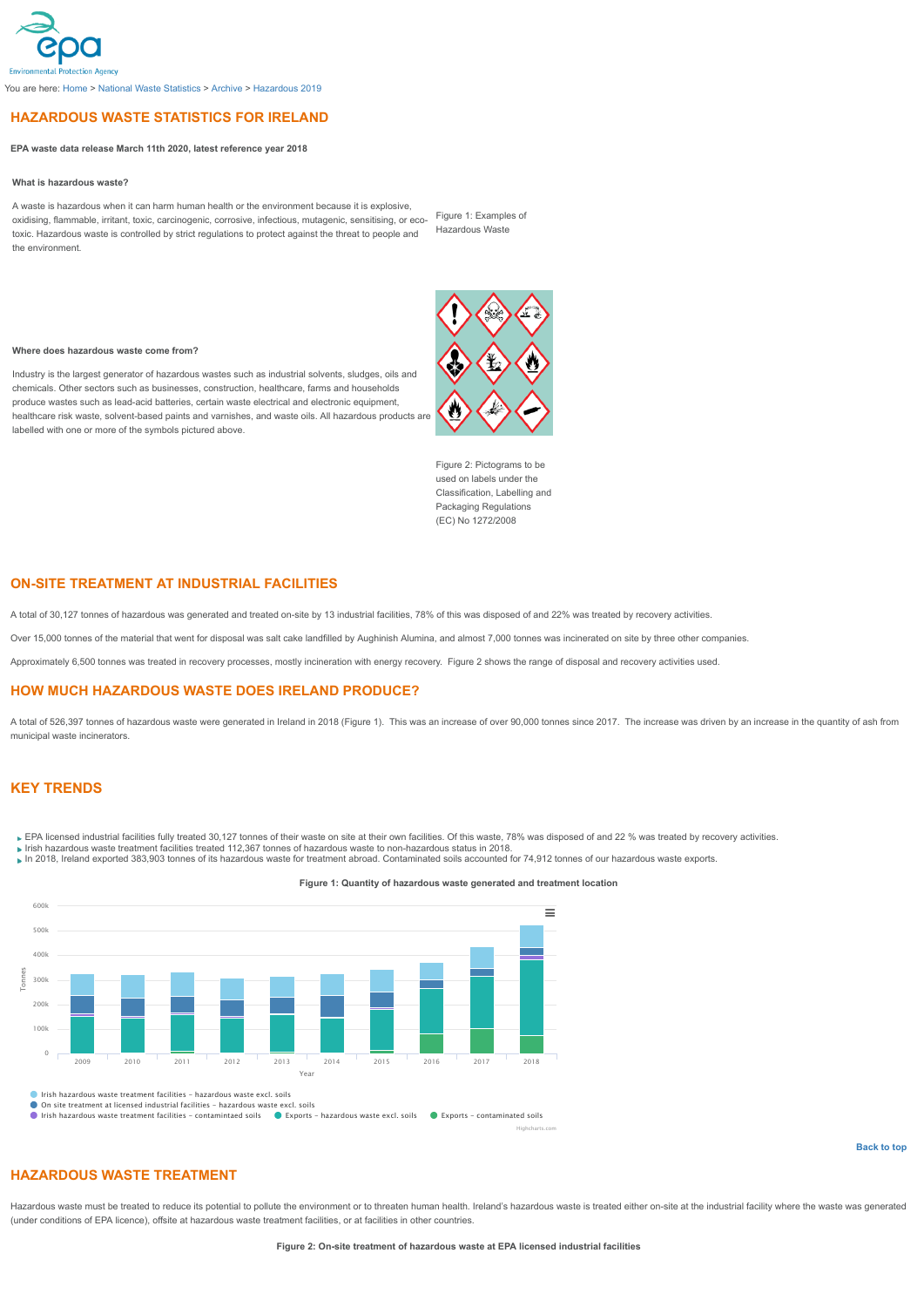## <span id="page-0-0"></span>**HAZARDOUS WASTE STATISTICS FOR IRELAND**

### **EPA waste data release March 11th 2020, latest reference year 2018**

### **What is hazardous waste?**

A waste is hazardous when it can harm human health or the environment because it is explosive, oxidising, flammable, irritant, toxic, carcinogenic, corrosive, infectious, mutagenic, sensitising, or ecotoxic. Hazardous waste is controlled by strict regulations to protect against the threat to people and the environment.

Figure 1: Examples of Hazardous Waste

#### **Where does hazardous waste come from?**

Industry is the largest generator of hazardous wastes such as industrial solvents, sludges, oils and chemicals. Other sectors such as businesses, construction, healthcare, farms and households produce wastes such as lead-acid batteries, certain waste electrical and electronic equipment, healthcare risk waste, solvent-based paints and varnishes, and waste oils. All hazardous products are labelled with one or more of the symbols pictured above.



Figure 2: Pictograms to be used on labels under the Classification, Labelling and Packaging Regulations (EC) No 1272/2008

## **ON-SITE TREATMENT AT INDUSTRIAL FACILITIES**

A total of 30,127 tonnes of hazardous was generated and treated on-site by 13 industrial facilities, 78% of this was disposed of and 22% was treated by recovery activities.

Over 15,000 tonnes of the material that went for disposal was salt cake landfilled by Aughinish Alumina, and almost 7,000 tonnes was incinerated on site by three other companies.

Approximately 6,500 tonnes was treated in recovery processes, mostly incineration with energy recovery. Figure 2 shows the range of disposal and recovery activities used.

### **HOW MUCH HAZARDOUS WASTE DOES IRELAND PRODUCE?**

A total of 526,397 tonnes of hazardous waste were generated in Ireland in 2018 (Figure 1). This was an increase of over 90,000 tonnes since 2017. The increase was driven by an increase in the quantity of ash from municipal waste incinerators.

## **KEY TRENDS**

- EPA licensed industrial facilities fully treated 30,127 tonnes of their waste on site at their own facilities. Of this waste, 78% was disposed of and 22 % was treated by recovery activities.
- 
- Irish hazardous waste treatment facilities treated 112,367 tonnes of hazardous waste to non-hazardous status in 2018.<br>In 2018, Ireland exported 383,903 tonnes of its hazardous waste for treatment abroad. Contaminated soils



**Figure 1: Quantity of hazardous waste generated and treatment location**

### **[Back to top](#page-0-0)**

# **HAZARDOUS WASTE TREATMENT**

Hazardous waste must be treated to reduce its potential to pollute the environment or to threaten human health. Ireland's hazardous waste is treated either on-site at the industrial facility where the waste was generated (under conditions of EPA licence), offsite at hazardous waste treatment facilities, or at facilities in other countries.

Highcharts.com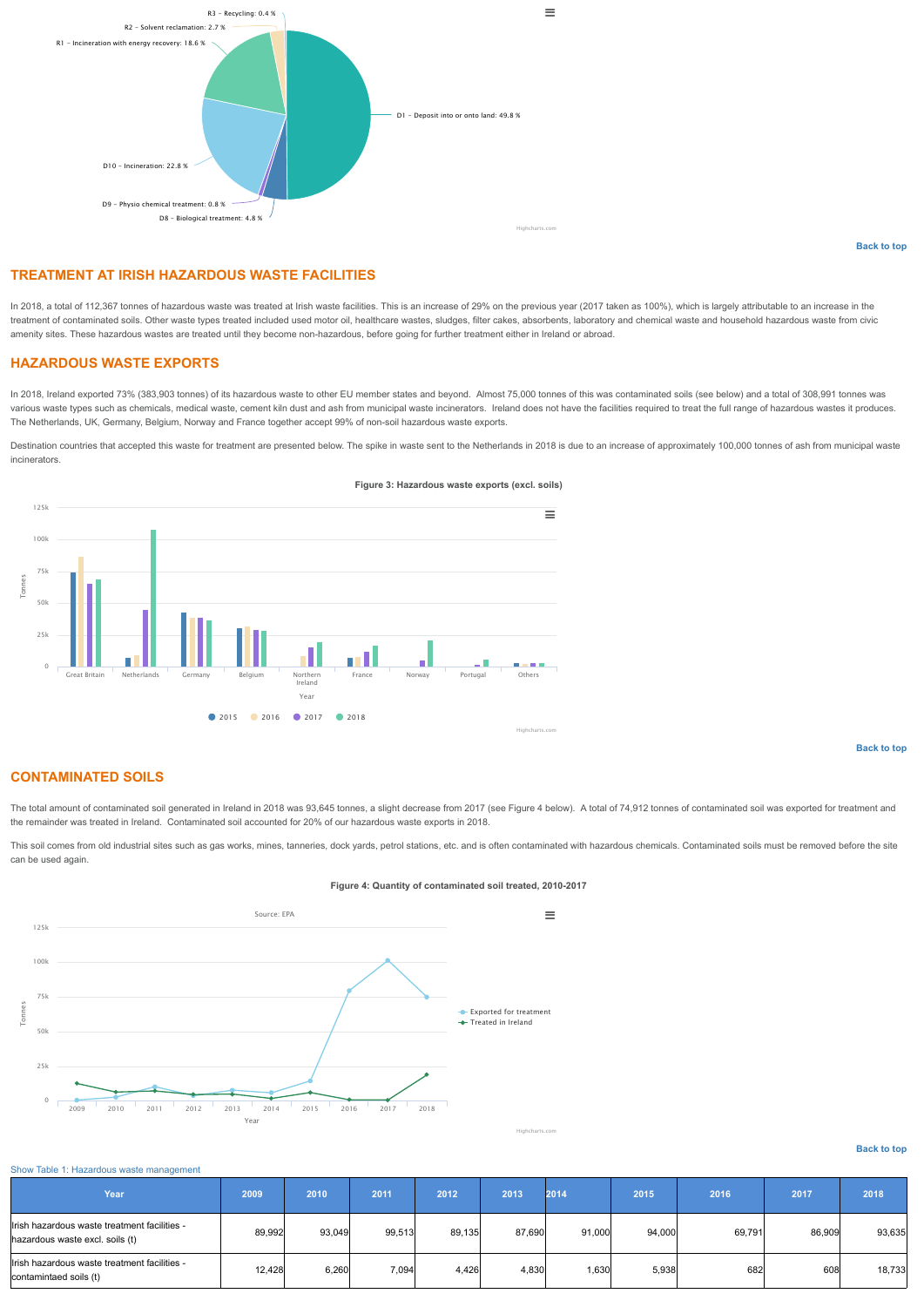

# **TREATMENT AT IRISH HAZARDOUS WASTE FACILITIES**

In 2018, a total of 112,367 tonnes of hazardous waste was treated at Irish waste facilities. This is an increase of 29% on the previous year (2017 taken as 100%), which is largely attributable to an increase in the treatment of contaminated soils. Other waste types treated included used motor oil, healthcare wastes, sludges, filter cakes, absorbents, laboratory and chemical waste and household hazardous waste from civic amenity sites. These hazardous wastes are treated until they become non-hazardous, before going for further treatment either in Ireland or abroad.

## **HAZARDOUS WASTE EXPORTS**

In 2018, Ireland exported 73% (383,903 tonnes) of its hazardous waste to other EU member states and beyond. Almost 75,000 tonnes of this was contaminated soils (see below) and a total of 308,991 tonnes was various waste types such as chemicals, medical waste, cement kiln dust and ash from municipal waste incinerators. Ireland does not have the facilities required to treat the full range of hazardous wastes it produces. The Netherlands, UK, Germany, Belgium, Norway and France together accept 99% of non-soil hazardous waste exports.

Destination countries that accepted this waste for treatment are presented below. The spike in waste sent to the Netherlands in 2018 is due to an increase of approximately 100,000 tonnes of ash from municipal waste incinerators.



### **Figure 3: Hazardous waste exports (excl. soils)**

**[Back to top](#page-0-0)**

# **CONTAMINATED SOILS**

The total amount of contaminated soil generated in Ireland in 2018 was 93,645 tonnes, a slight decrease from 2017 (see Figure 4 below). A total of 74,912 tonnes of contaminated soil was exported for treatment and the remainder was treated in Ireland. Contaminated soil accounted for 20% of our hazardous waste exports in 2018.

This soil comes from old industrial sites such as gas works, mines, tanneries, dock yards, petrol stations, etc. and is often contaminated with hazardous chemicals. Contaminated soils must be removed before the site can be used again.

### **Figure 4: Quantity of contaminated soil treated, 2010-2017**



## Highcharts.com

# **[Back to top](#page-0-0)**

| Show Table 1: Hazardous waste management |  |
|------------------------------------------|--|
|------------------------------------------|--|

<span id="page-1-0"></span>

| Year'                                                                           | 2009   | 2010   | 2011   | 2012   | 2013   | 2014   | 2015   | 2016   | 2017   | 2018   |
|---------------------------------------------------------------------------------|--------|--------|--------|--------|--------|--------|--------|--------|--------|--------|
| Irish hazardous waste treatment facilities -<br>hazardous waste excl. soils (t) | 89.992 | 93.049 | 99.513 | 89.135 | 87.690 | 91.000 | 94.000 | 69.791 | 86.909 | 93,635 |
| Irish hazardous waste treatment facilities -<br>contamintaed soils (t)          | 12,428 | 6,260  | 7,094  | 4,426  | 4,830  | 1,630  | 5,938  | 682    | 608    | 18,733 |